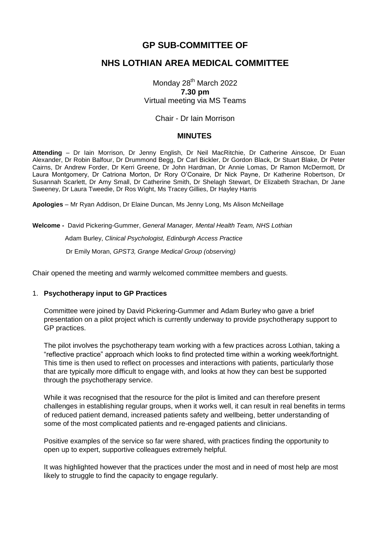## **GP SUB-COMMITTEE OF**

## **NHS LOTHIAN AREA MEDICAL COMMITTEE**

Monday 28<sup>th</sup> March 2022 **7.30 pm** Virtual meeting via MS Teams

#### Chair - Dr Iain Morrison

#### **MINUTES**

**Attending** – Dr Iain Morrison, Dr Jenny English, Dr Neil MacRitchie, Dr Catherine Ainscoe, Dr Euan Alexander, Dr Robin Balfour, Dr Drummond Begg, Dr Carl Bickler, Dr Gordon Black, Dr Stuart Blake, Dr Peter Cairns, Dr Andrew Forder, Dr Kerri Greene, Dr John Hardman, Dr Annie Lomas, Dr Ramon McDermott, Dr Laura Montgomery, Dr Catriona Morton, Dr Rory O'Conaire, Dr Nick Payne, Dr Katherine Robertson, Dr Susannah Scarlett, Dr Amy Small, Dr Catherine Smith, Dr Shelagh Stewart, Dr Elizabeth Strachan, Dr Jane Sweeney, Dr Laura Tweedie, Dr Ros Wight, Ms Tracey Gillies, Dr Hayley Harris

**Apologies** – Mr Ryan Addison, Dr Elaine Duncan, Ms Jenny Long, Ms Alison McNeillage

**Welcome -** David Pickering-Gummer, *General Manager, Mental Health Team, NHS Lothian* Adam Burley, *Clinical Psychologist, Edinburgh Access Practice* Dr Emily Moran, *GPST3, Grange Medical Group (observing)*

Chair opened the meeting and warmly welcomed committee members and guests.

#### 1. **Psychotherapy input to GP Practices**

Committee were joined by David Pickering-Gummer and Adam Burley who gave a brief presentation on a pilot project which is currently underway to provide psychotherapy support to GP practices.

The pilot involves the psychotherapy team working with a few practices across Lothian, taking a "reflective practice" approach which looks to find protected time within a working week/fortnight. This time is then used to reflect on processes and interactions with patients, particularly those that are typically more difficult to engage with, and looks at how they can best be supported through the psychotherapy service.

While it was recognised that the resource for the pilot is limited and can therefore present challenges in establishing regular groups, when it works well, it can result in real benefits in terms of reduced patient demand, increased patients safety and wellbeing, better understanding of some of the most complicated patients and re-engaged patients and clinicians.

Positive examples of the service so far were shared, with practices finding the opportunity to open up to expert, supportive colleagues extremely helpful.

It was highlighted however that the practices under the most and in need of most help are most likely to struggle to find the capacity to engage regularly.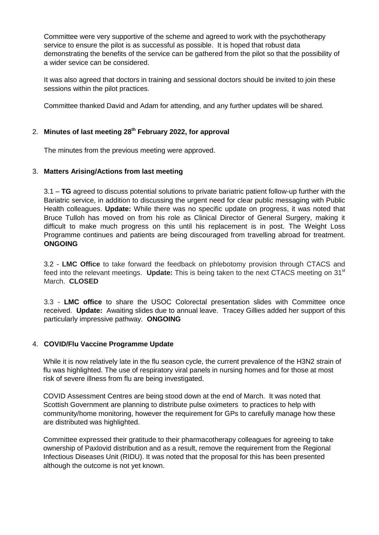Committee were very supportive of the scheme and agreed to work with the psychotherapy service to ensure the pilot is as successful as possible. It is hoped that robust data demonstrating the benefits of the service can be gathered from the pilot so that the possibility of a wider sevice can be considered.

It was also agreed that doctors in training and sessional doctors should be invited to join these sessions within the pilot practices.

Committee thanked David and Adam for attending, and any further updates will be shared.

# 2. **Minutes of last meeting 28th February 2022, for approval**

The minutes from the previous meeting were approved.

### 3. **Matters Arising/Actions from last meeting**

3.1 – **TG** agreed to discuss potential solutions to private bariatric patient follow-up further with the Bariatric service, in addition to discussing the urgent need for clear public messaging with Public Health colleagues. **Update:** While there was no specific update on progress, it was noted that Bruce Tulloh has moved on from his role as Clinical Director of General Surgery, making it difficult to make much progress on this until his replacement is in post. The Weight Loss Programme continues and patients are being discouraged from travelling abroad for treatment. **ONGOING**

3.2 - **LMC Office** to take forward the feedback on phlebotomy provision through CTACS and feed into the relevant meetings. **Update:** This is being taken to the next CTACS meeting on 31st March. **CLOSED**

3.3 - **LMC office** to share the USOC Colorectal presentation slides with Committee once received. **Update:** Awaiting slides due to annual leave. Tracey Gillies added her support of this particularly impressive pathway. **ONGOING**

### 4. **COVID/Flu Vaccine Programme Update**

While it is now relatively late in the flu season cycle, the current prevalence of the H3N2 strain of flu was highlighted. The use of respiratory viral panels in nursing homes and for those at most risk of severe illness from flu are being investigated.

COVID Assessment Centres are being stood down at the end of March. It was noted that Scottish Government are planning to distribute pulse oximeters to practices to help with community/home monitoring, however the requirement for GPs to carefully manage how these are distributed was highlighted.

Committee expressed their gratitude to their pharmacotherapy colleagues for agreeing to take ownership of Paxlovid distribution and as a result, remove the requirement from the Regional Infectious Diseases Unit (RIDU). It was noted that the proposal for this has been presented although the outcome is not yet known.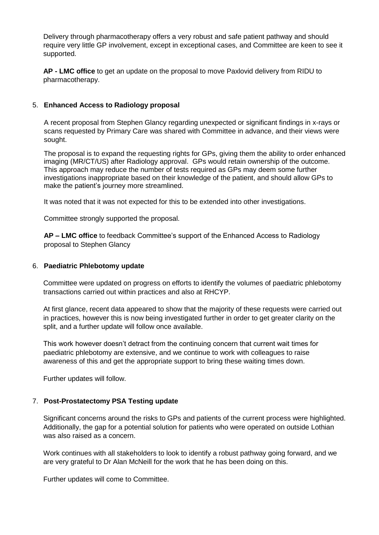Delivery through pharmacotherapy offers a very robust and safe patient pathway and should require very little GP involvement, except in exceptional cases, and Committee are keen to see it supported.

**AP - LMC office** to get an update on the proposal to move Paxlovid delivery from RIDU to pharmacotherapy.

### 5. **Enhanced Access to Radiology proposal**

A recent proposal from Stephen Glancy regarding unexpected or significant findings in x-rays or scans requested by Primary Care was shared with Committee in advance, and their views were sought.

The proposal is to expand the requesting rights for GPs, giving them the ability to order enhanced imaging (MR/CT/US) after Radiology approval. GPs would retain ownership of the outcome. This approach may reduce the number of tests required as GPs may deem some further investigations inappropriate based on their knowledge of the patient, and should allow GPs to make the patient's journey more streamlined.

It was noted that it was not expected for this to be extended into other investigations.

Committee strongly supported the proposal.

**AP – LMC office** to feedback Committee's support of the Enhanced Access to Radiology proposal to Stephen Glancy

#### 6. **Paediatric Phlebotomy update**

Committee were updated on progress on efforts to identify the volumes of paediatric phlebotomy transactions carried out within practices and also at RHCYP.

At first glance, recent data appeared to show that the majority of these requests were carried out in practices, however this is now being investigated further in order to get greater clarity on the split, and a further update will follow once available.

This work however doesn't detract from the continuing concern that current wait times for paediatric phlebotomy are extensive, and we continue to work with colleagues to raise awareness of this and get the appropriate support to bring these waiting times down.

Further updates will follow.

### 7. **Post-Prostatectomy PSA Testing update**

Significant concerns around the risks to GPs and patients of the current process were highlighted. Additionally, the gap for a potential solution for patients who were operated on outside Lothian was also raised as a concern.

Work continues with all stakeholders to look to identify a robust pathway going forward, and we are very grateful to Dr Alan McNeill for the work that he has been doing on this.

Further updates will come to Committee.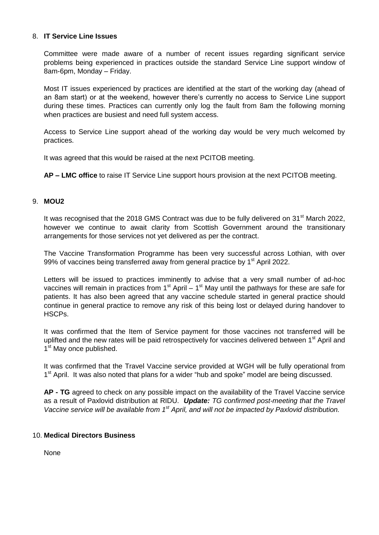#### 8. **IT Service Line Issues**

Committee were made aware of a number of recent issues regarding significant service problems being experienced in practices outside the standard Service Line support window of 8am-6pm, Monday – Friday.

Most IT issues experienced by practices are identified at the start of the working day (ahead of an 8am start) or at the weekend, however there's currently no access to Service Line support during these times. Practices can currently only log the fault from 8am the following morning when practices are busiest and need full system access.

Access to Service Line support ahead of the working day would be very much welcomed by practices.

It was agreed that this would be raised at the next PCITOB meeting.

**AP – LMC office** to raise IT Service Line support hours provision at the next PCITOB meeting.

## 9. **MOU2**

It was recognised that the 2018 GMS Contract was due to be fully delivered on 31<sup>st</sup> March 2022, however we continue to await clarity from Scottish Government around the transitionary arrangements for those services not yet delivered as per the contract.

The Vaccine Transformation Programme has been very successful across Lothian, with over 99% of vaccines being transferred away from general practice by  $1<sup>st</sup>$  April 2022.

Letters will be issued to practices imminently to advise that a very small number of ad-hoc vaccines will remain in practices from  $1<sup>st</sup>$  April –  $1<sup>st</sup>$  May until the pathways for these are safe for patients. It has also been agreed that any vaccine schedule started in general practice should continue in general practice to remove any risk of this being lost or delayed during handover to HSCPs.

It was confirmed that the Item of Service payment for those vaccines not transferred will be uplifted and the new rates will be paid retrospectively for vaccines delivered between 1<sup>st</sup> April and 1<sup>st</sup> May once published.

It was confirmed that the Travel Vaccine service provided at WGH will be fully operational from 1<sup>st</sup> April. It was also noted that plans for a wider "hub and spoke" model are being discussed.

**AP - TG** agreed to check on any possible impact on the availability of the Travel Vaccine service as a result of Paxlovid distribution at RIDU. *Update: TG confirmed post-meeting that the Travel Vaccine service will be available from 1st April, and will not be impacted by Paxlovid distribution.*

### 10. **Medical Directors Business**

None